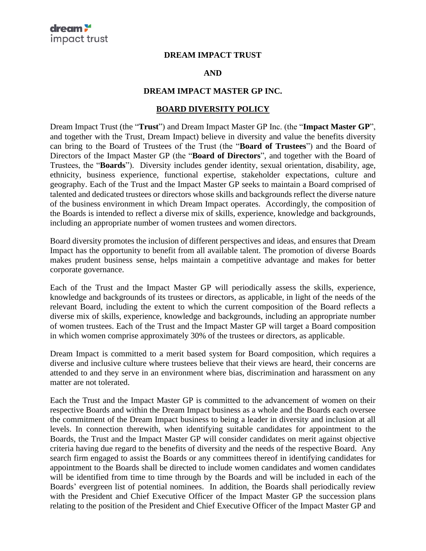## **DREAM IMPACT TRUST**

## **AND**

## **DREAM IMPACT MASTER GP INC.**

## **BOARD DIVERSITY POLICY**

Dream Impact Trust (the "**Trust**") and Dream Impact Master GP Inc. (the "**Impact Master GP**", and together with the Trust, Dream Impact) believe in diversity and value the benefits diversity can bring to the Board of Trustees of the Trust (the "**Board of Trustees**") and the Board of Directors of the Impact Master GP (the "**Board of Directors**", and together with the Board of Trustees, the "**Boards**"). Diversity includes gender identity, sexual orientation, disability, age, ethnicity, business experience, functional expertise, stakeholder expectations, culture and geography. Each of the Trust and the Impact Master GP seeks to maintain a Board comprised of talented and dedicated trustees or directors whose skills and backgrounds reflect the diverse nature of the business environment in which Dream Impact operates. Accordingly, the composition of the Boards is intended to reflect a diverse mix of skills, experience, knowledge and backgrounds, including an appropriate number of women trustees and women directors.

Board diversity promotes the inclusion of different perspectives and ideas, and ensures that Dream Impact has the opportunity to benefit from all available talent. The promotion of diverse Boards makes prudent business sense, helps maintain a competitive advantage and makes for better corporate governance.

Each of the Trust and the Impact Master GP will periodically assess the skills, experience, knowledge and backgrounds of its trustees or directors, as applicable, in light of the needs of the relevant Board, including the extent to which the current composition of the Board reflects a diverse mix of skills, experience, knowledge and backgrounds, including an appropriate number of women trustees. Each of the Trust and the Impact Master GP will target a Board composition in which women comprise approximately 30% of the trustees or directors, as applicable.

Dream Impact is committed to a merit based system for Board composition, which requires a diverse and inclusive culture where trustees believe that their views are heard, their concerns are attended to and they serve in an environment where bias, discrimination and harassment on any matter are not tolerated.

Each the Trust and the Impact Master GP is committed to the advancement of women on their respective Boards and within the Dream Impact business as a whole and the Boards each oversee the commitment of the Dream Impact business to being a leader in diversity and inclusion at all levels. In connection therewith, when identifying suitable candidates for appointment to the Boards, the Trust and the Impact Master GP will consider candidates on merit against objective criteria having due regard to the benefits of diversity and the needs of the respective Board. Any search firm engaged to assist the Boards or any committees thereof in identifying candidates for appointment to the Boards shall be directed to include women candidates and women candidates will be identified from time to time through by the Boards and will be included in each of the Boards' evergreen list of potential nominees. In addition, the Boards shall periodically review with the President and Chief Executive Officer of the Impact Master GP the succession plans relating to the position of the President and Chief Executive Officer of the Impact Master GP and